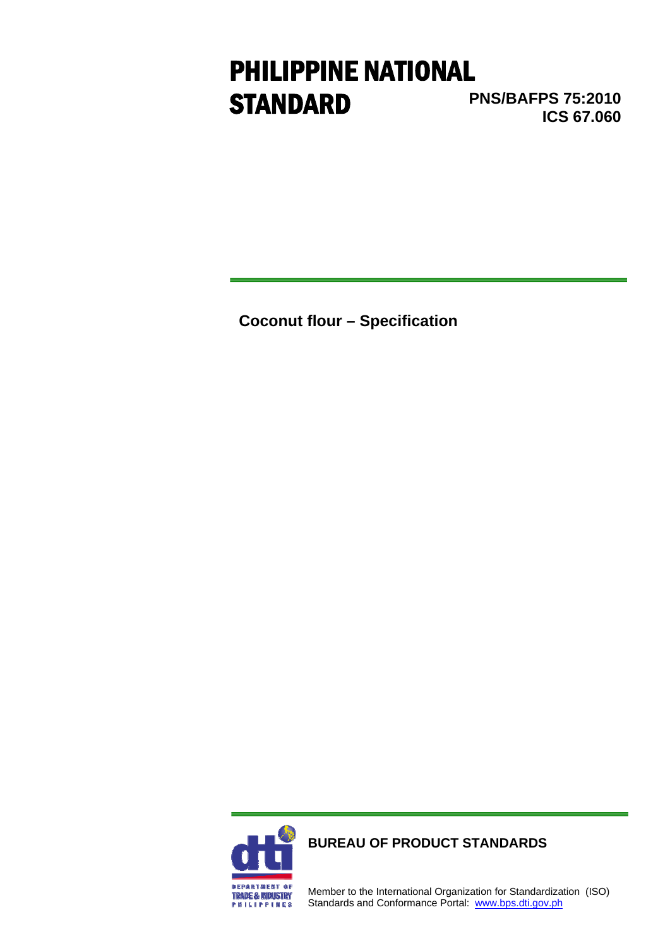# PHILIPPINE NATIONAL **STANDARD**

**PNS/BAFPS 75:2010 ICS 67.060** 

**Coconut flour – Specification** 



**BUREAU OF PRODUCT STANDARDS**

Member to the International Organization for Standardization (ISO) Standards and Conformance Portal: www.bps.dti.gov.ph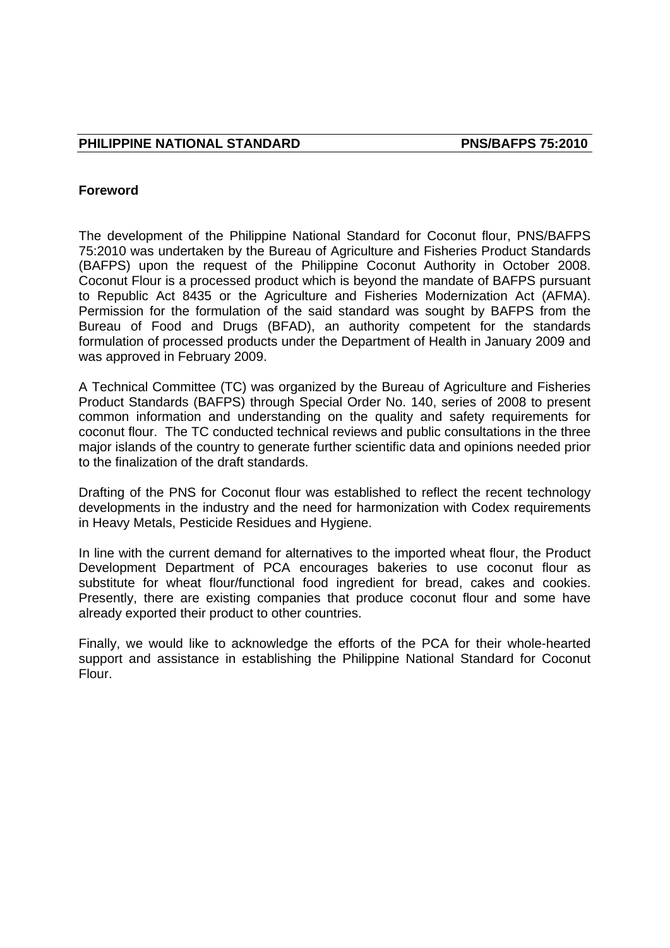#### **Foreword**

The development of the Philippine National Standard for Coconut flour, PNS/BAFPS 75:2010 was undertaken by the Bureau of Agriculture and Fisheries Product Standards (BAFPS) upon the request of the Philippine Coconut Authority in October 2008. Coconut Flour is a processed product which is beyond the mandate of BAFPS pursuant to Republic Act 8435 or the Agriculture and Fisheries Modernization Act (AFMA). Permission for the formulation of the said standard was sought by BAFPS from the Bureau of Food and Drugs (BFAD), an authority competent for the standards formulation of processed products under the Department of Health in January 2009 and was approved in February 2009.

A Technical Committee (TC) was organized by the Bureau of Agriculture and Fisheries Product Standards (BAFPS) through Special Order No. 140, series of 2008 to present common information and understanding on the quality and safety requirements for coconut flour. The TC conducted technical reviews and public consultations in the three major islands of the country to generate further scientific data and opinions needed prior to the finalization of the draft standards.

Drafting of the PNS for Coconut flour was established to reflect the recent technology developments in the industry and the need for harmonization with Codex requirements in Heavy Metals, Pesticide Residues and Hygiene.

In line with the current demand for alternatives to the imported wheat flour, the Product Development Department of PCA encourages bakeries to use coconut flour as substitute for wheat flour/functional food ingredient for bread, cakes and cookies. Presently, there are existing companies that produce coconut flour and some have already exported their product to other countries.

Finally, we would like to acknowledge the efforts of the PCA for their whole-hearted support and assistance in establishing the Philippine National Standard for Coconut Flour.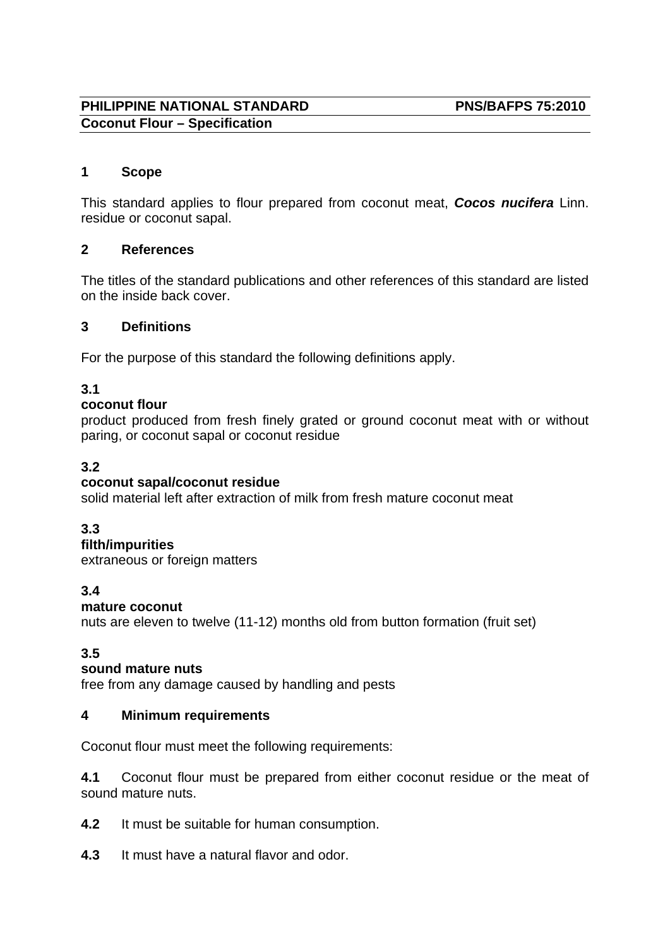# **PHILIPPINE NATIONAL STANDARD PNS/BAFPS 75:2010 Coconut Flour – Specification**

## **1 Scope**

This standard applies to flour prepared from coconut meat, *Cocos nucifera* Linn. residue or coconut sapal.

#### **2 References**

The titles of the standard publications and other references of this standard are listed on the inside back cover.

#### **3 Definitions**

For the purpose of this standard the following definitions apply.

# **3.1**

#### **coconut flour**

product produced from fresh finely grated or ground coconut meat with or without paring, or coconut sapal or coconut residue

# **3.2**

#### **coconut sapal/coconut residue**

solid material left after extraction of milk from fresh mature coconut meat

#### **3.3**

#### **filth/impurities**

extraneous or foreign matters

# **3.4**

#### **mature coconut**

nuts are eleven to twelve (11-12) months old from button formation (fruit set)

# **3.5**

#### **sound mature nuts**

free from any damage caused by handling and pests

#### **4 Minimum requirements**

Coconut flour must meet the following requirements:

**4.1** Coconut flour must be prepared from either coconut residue or the meat of sound mature nuts.

- **4.2** It must be suitable for human consumption.
- **4.3** It must have a natural flavor and odor.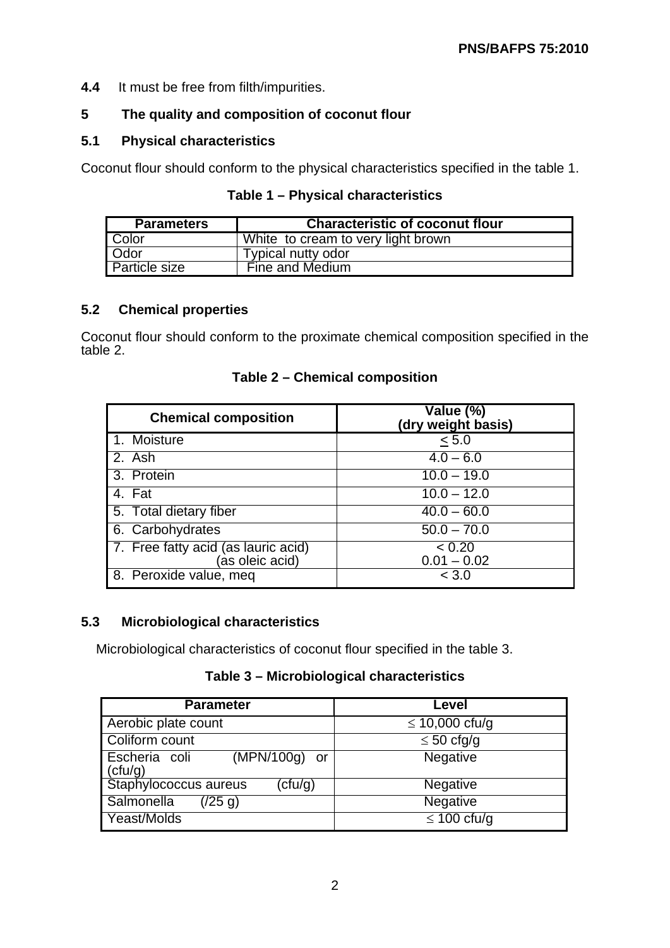#### **4.4** It must be free from filth/impurities.

# **5 The quality and composition of coconut flour**

#### **5.1 Physical characteristics**

Coconut flour should conform to the physical characteristics specified in the table 1.

| Table 1 - Physical characteristics |  |
|------------------------------------|--|
|------------------------------------|--|

| <b>Parameters</b>    | <b>Characteristic of coconut flour</b> |
|----------------------|----------------------------------------|
| Color                | White to cream to very light brown     |
| Odor                 | Typical nutty odor                     |
| <b>Particle size</b> | Fine and Medium                        |

#### **5.2 Chemical properties**

Coconut flour should conform to the proximate chemical composition specified in the table 2.

| <b>Chemical composition</b>                            | Value (%)<br>(dry weight basis)  |
|--------------------------------------------------------|----------------------------------|
| 1. Moisture                                            | < 5.0                            |
| 2. Ash                                                 | $4.0 - 6.0$                      |
| 3. Protein                                             | $\overline{10.0} - 19.0$         |
| 4. Fat                                                 | $\overline{10.0} - 12.0$         |
| 5. Total dietary fiber                                 | $\overline{40.0} - 60.0$         |
| 6. Carbohydrates                                       | $\overline{50.0} - 70.0$         |
| 7. Free fatty acid (as lauric acid)<br>(as oleic acid) | $\sqrt{2}$ 0.20<br>$0.01 - 0.02$ |
| 8. Peroxide value, meq                                 | < 3.0                            |

**Table 2 – Chemical composition** 

#### **5.3 Microbiological characteristics**

Microbiological characteristics of coconut flour specified in the table 3.

# **Table 3 – Microbiological characteristics**

| <b>Parameter</b>                            | Level               |  |
|---------------------------------------------|---------------------|--|
| Aerobic plate count                         | $\leq 10,000$ cfu/g |  |
| Coliform count                              | $\leq 50$ cfg/g     |  |
| $(MPN/100g)$ or<br>Escheria coli<br>(ctu/g) | Negative            |  |
| Staphylococcus aureus<br>$(\text{ctu/g})$   | <b>Negative</b>     |  |
| Salmonella<br>(25 g)                        | Negative            |  |
| Yeast/Molds                                 | $\leq 100$ cfu/g    |  |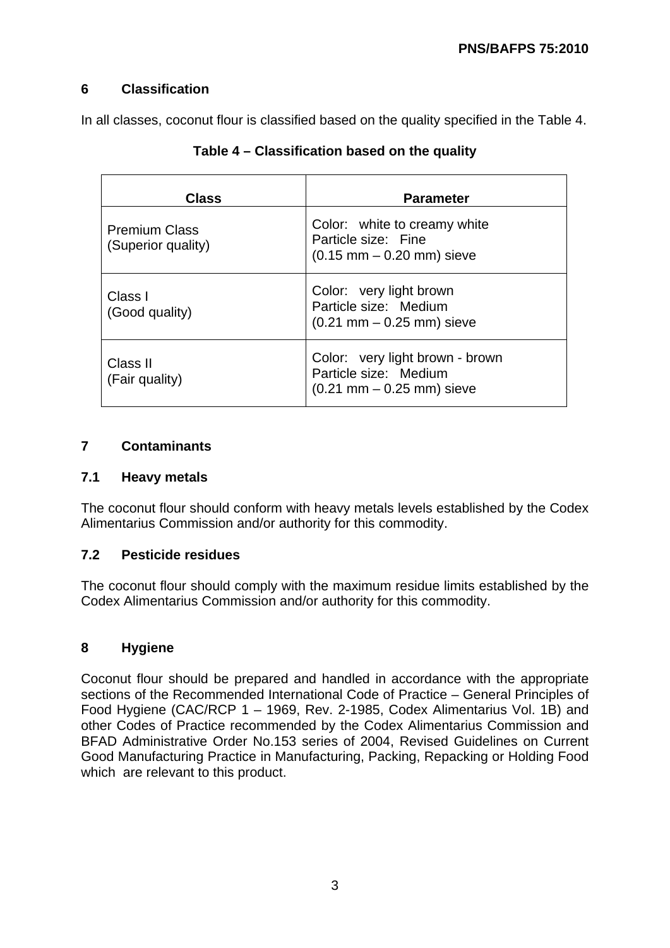# **6 Classification**

In all classes, coconut flour is classified based on the quality specified in the Table 4.

| <b>Class</b>                               | <b>Parameter</b>                                                                                            |  |
|--------------------------------------------|-------------------------------------------------------------------------------------------------------------|--|
| <b>Premium Class</b><br>(Superior quality) | Color: white to creamy white<br>Particle size: Fine<br>$(0.15 \, \text{mm} - 0.20 \, \text{mm})$ sieve      |  |
| Class I<br>(Good quality)                  | Color: very light brown<br>Particle size: Medium<br>$(0.21 \text{ mm} - 0.25 \text{ mm})$ sieve             |  |
| Class II<br>(Fair quality)                 | Color: very light brown - brown<br>Particle size: Medium<br>$(0.21 \, \text{mm} - 0.25 \, \text{mm})$ sieve |  |

| Table 4 – Classification based on the quality |  |  |
|-----------------------------------------------|--|--|
|-----------------------------------------------|--|--|

# **7 Contaminants**

#### **7.1 Heavy metals**

The coconut flour should conform with heavy metals levels established by the Codex Alimentarius Commission and/or authority for this commodity.

#### **7.2 Pesticide residues**

The coconut flour should comply with the maximum residue limits established by the Codex Alimentarius Commission and/or authority for this commodity.

# **8 Hygiene**

Coconut flour should be prepared and handled in accordance with the appropriate sections of the Recommended International Code of Practice – General Principles of Food Hygiene (CAC/RCP 1 – 1969, Rev. 2-1985, Codex Alimentarius Vol. 1B) and other Codes of Practice recommended by the Codex Alimentarius Commission and BFAD Administrative Order No.153 series of 2004, Revised Guidelines on Current Good Manufacturing Practice in Manufacturing, Packing, Repacking or Holding Food which are relevant to this product.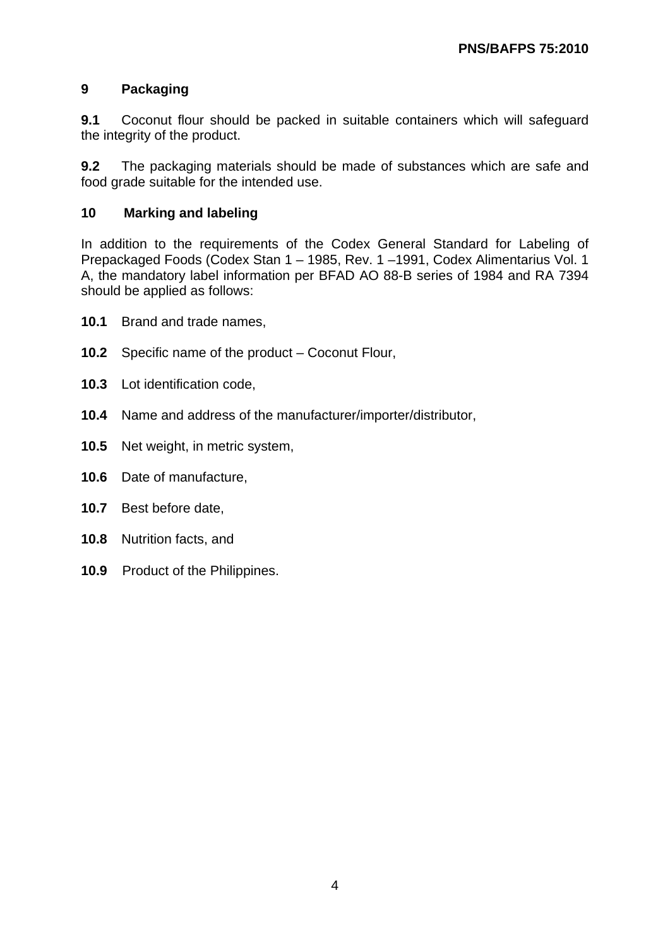## **9 Packaging**

**9.1** Coconut flour should be packed in suitable containers which will safeguard the integrity of the product.

**9.2** The packaging materials should be made of substances which are safe and food grade suitable for the intended use.

#### **10 Marking and labeling**

In addition to the requirements of the Codex General Standard for Labeling of Prepackaged Foods (Codex Stan 1 – 1985, Rev. 1 –1991, Codex Alimentarius Vol. 1 A, the mandatory label information per BFAD AO 88-B series of 1984 and RA 7394 should be applied as follows:

- **10.1** Brand and trade names,
- **10.2** Specific name of the product Coconut Flour,
- **10.3** Lot identification code,
- **10.4** Name and address of the manufacturer/importer/distributor,
- **10.5** Net weight, in metric system,
- **10.6** Date of manufacture,
- **10.7** Best before date,
- **10.8** Nutrition facts, and
- **10.9** Product of the Philippines.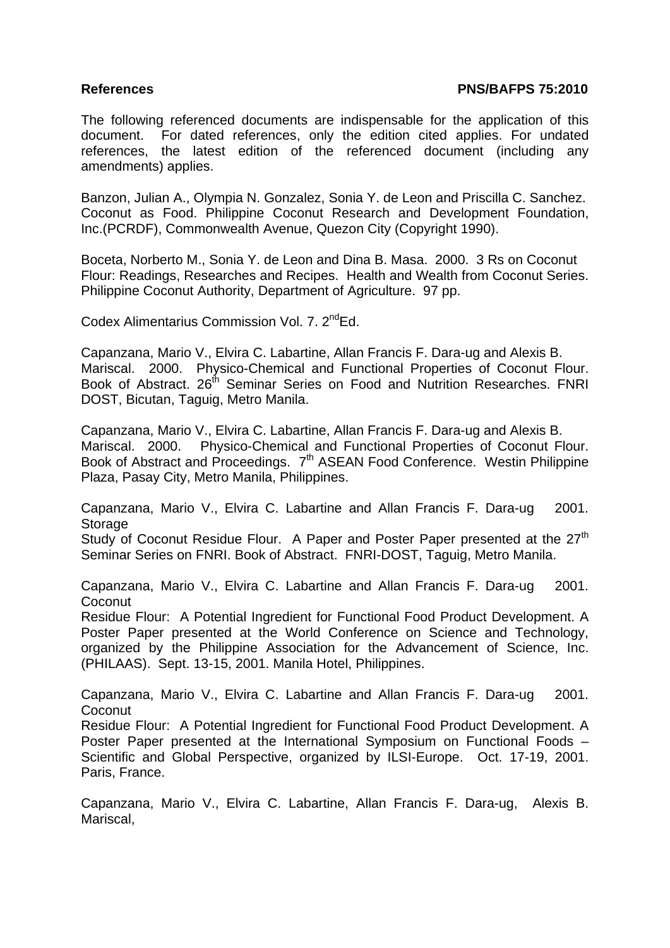#### **References PNS/BAFPS 75:2010**

The following referenced documents are indispensable for the application of this document. For dated references, only the edition cited applies. For undated references, the latest edition of the referenced document (including any amendments) applies.

Banzon, Julian A., Olympia N. Gonzalez, Sonia Y. de Leon and Priscilla C. Sanchez. Coconut as Food. Philippine Coconut Research and Development Foundation, Inc.(PCRDF), Commonwealth Avenue, Quezon City (Copyright 1990).

Boceta, Norberto M., Sonia Y. de Leon and Dina B. Masa. 2000. 3 Rs on Coconut Flour: Readings, Researches and Recipes. Health and Wealth from Coconut Series. Philippine Coconut Authority, Department of Agriculture. 97 pp.

Codex Alimentarius Commission Vol. 7. 2<sup>nd</sup>Ed.

Capanzana, Mario V., Elvira C. Labartine, Allan Francis F. Dara-ug and Alexis B. Mariscal. 2000. Physico-Chemical and Functional Properties of Coconut Flour. Book of Abstract. 26<sup>th</sup> Seminar Series on Food and Nutrition Researches. FNRI DOST, Bicutan, Taguig, Metro Manila.

Capanzana, Mario V., Elvira C. Labartine, Allan Francis F. Dara-ug and Alexis B. Mariscal. 2000. Physico-Chemical and Functional Properties of Coconut Flour. Book of Abstract and Proceedings. 7<sup>th</sup> ASEAN Food Conference. Westin Philippine Plaza, Pasay City, Metro Manila, Philippines.

Capanzana, Mario V., Elvira C. Labartine and Allan Francis F. Dara-ug 2001. **Storage** 

Study of Coconut Residue Flour. A Paper and Poster Paper presented at the  $27<sup>th</sup>$ Seminar Series on FNRI. Book of Abstract. FNRI-DOST, Taguig, Metro Manila.

Capanzana, Mario V., Elvira C. Labartine and Allan Francis F. Dara-ug 2001. **Coconut** 

Residue Flour: A Potential Ingredient for Functional Food Product Development. A Poster Paper presented at the World Conference on Science and Technology, organized by the Philippine Association for the Advancement of Science, Inc. (PHILAAS). Sept. 13-15, 2001. Manila Hotel, Philippines.

Capanzana, Mario V., Elvira C. Labartine and Allan Francis F. Dara-ug 2001. Coconut

Residue Flour: A Potential Ingredient for Functional Food Product Development. A Poster Paper presented at the International Symposium on Functional Foods – Scientific and Global Perspective, organized by ILSI-Europe. Oct. 17-19, 2001. Paris, France.

Capanzana, Mario V., Elvira C. Labartine, Allan Francis F. Dara-ug, Alexis B. Mariscal,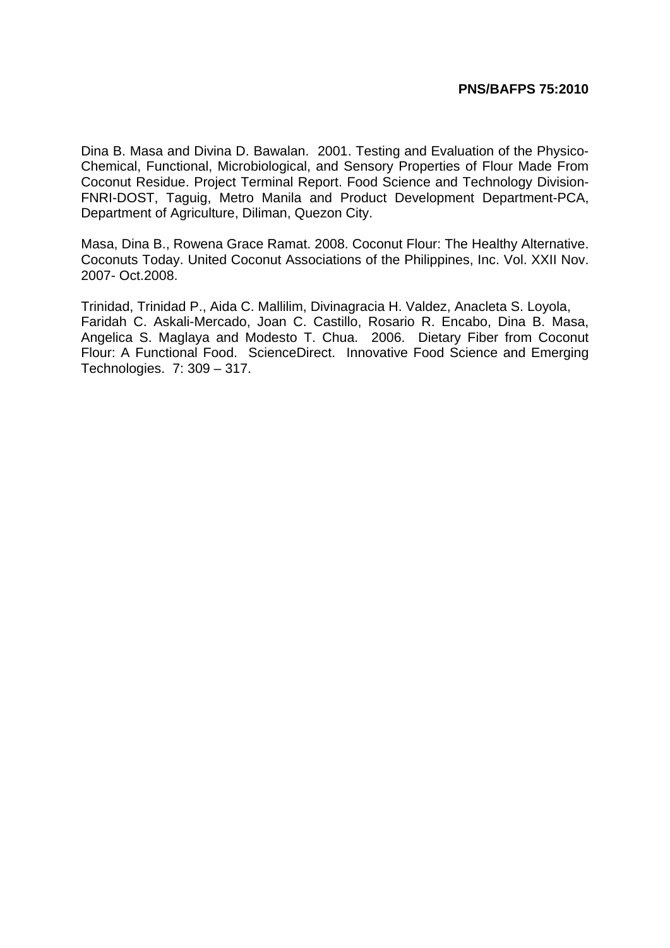#### **PNS/BAFPS 75:2010**

Dina B. Masa and Divina D. Bawalan. 2001. Testing and Evaluation of the Physico-Chemical, Functional, Microbiological, and Sensory Properties of Flour Made From Coconut Residue. Project Terminal Report. Food Science and Technology Division-FNRI-DOST, Taguig, Metro Manila and Product Development Department-PCA, Department of Agriculture, Diliman, Quezon City.

Masa, Dina B., Rowena Grace Ramat. 2008. Coconut Flour: The Healthy Alternative. Coconuts Today. United Coconut Associations of the Philippines, Inc. Vol. XXII Nov. 2007- Oct.2008.

Trinidad, Trinidad P., Aida C. Mallilim, Divinagracia H. Valdez, Anacleta S. Loyola, Faridah C. Askali-Mercado, Joan C. Castillo, Rosario R. Encabo, Dina B. Masa, Angelica S. Maglaya and Modesto T. Chua. 2006. Dietary Fiber from Coconut Flour: A Functional Food. ScienceDirect. Innovative Food Science and Emerging Technologies. 7: 309 – 317.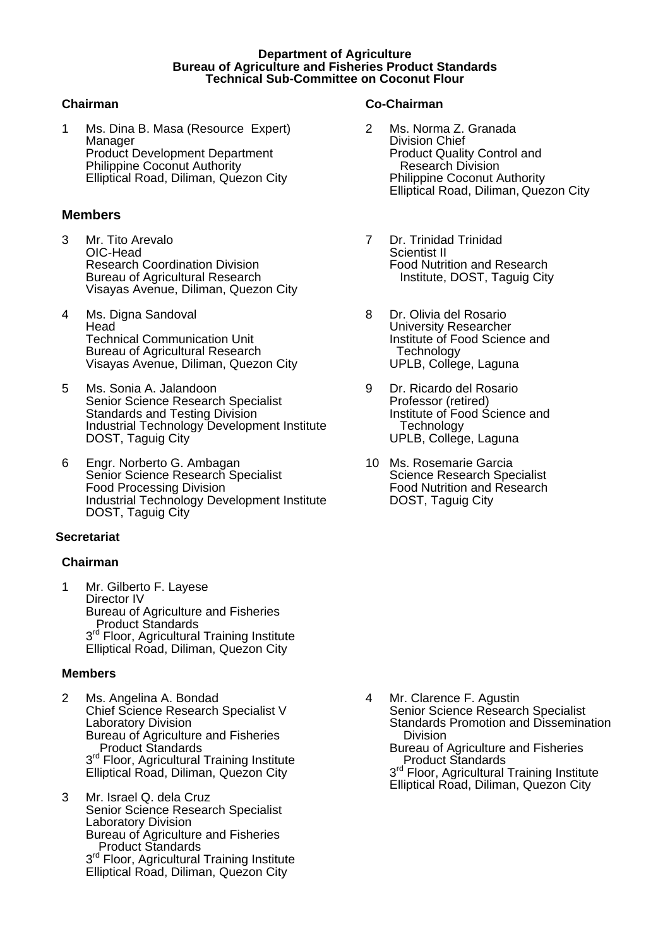#### **Department of Agriculture Bureau of Agriculture and Fisheries Product Standards Technical Sub-Committee on Coconut Flour**

1 Ms. Dina B. Masa (Resource Expert) Manager Product Development Department Philippine Coconut Authority Elliptical Road, Diliman, Quezon City

#### **Members**

- 3 Mr. Tito Arevalo OIC-Head Research Coordination Division Bureau of Agricultural Research Visayas Avenue, Diliman, Quezon City
- 4 Ms. Digna Sandoval Head Technical Communication Unit Bureau of Agricultural Research Visayas Avenue, Diliman, Quezon City
- 5 Ms. Sonia A. Jalandoon Senior Science Research Specialist Standards and Testing Division Industrial Technology Development Institute DOST, Taguig City
- 6 Engr. Norberto G. Ambagan Senior Science Research Specialist Food Processing Division Industrial Technology Development Institute DOST, Taguig City

#### **Secretariat**

#### **Chairman**

1 Mr. Gilberto F. Layese Director IV Bureau of Agriculture and Fisheries Product Standards 3rd Floor, Agricultural Training Institute Elliptical Road, Diliman, Quezon City

#### **Members**

- 2 Ms. Angelina A. Bondad Chief Science Research Specialist V Laboratory Division Bureau of Agriculture and Fisheries Product Standards 3<sup>rd</sup> Floor, Agricultural Training Institute Elliptical Road, Diliman, Quezon City
- 3 Mr. Israel Q. dela Cruz Senior Science Research Specialist Laboratory Division Bureau of Agriculture and Fisheries Product Standards 3<sup>rd</sup> Floor, Agricultural Training Institute Elliptical Road, Diliman, Quezon City

#### **Chairman Co-Chairman**

- 2 Ms. Norma Z. Granada Division Chief Product Quality Control and Research Division Philippine Coconut Authority Elliptical Road, Diliman, Quezon City
- 7 Dr. Trinidad Trinidad Scientist II Food Nutrition and Research Institute, DOST, Taguig City
- 8 Dr. Olivia del Rosario University Researcher Institute of Food Science and **Technology** UPLB, College, Laguna
- 9 Dr. Ricardo del Rosario Professor (retired) Institute of Food Science and **Technology** UPLB, College, Laguna
- 10 Ms. Rosemarie Garcia Science Research Specialist Food Nutrition and Research DOST, Taguig City

4 Mr. Clarence F. Agustin Senior Science Research Specialist Standards Promotion and Dissemination Division Bureau of Agriculture and Fisheries Product Standards 3<sup>rd</sup> Floor, Agricultural Training Institute Elliptical Road, Diliman, Quezon City